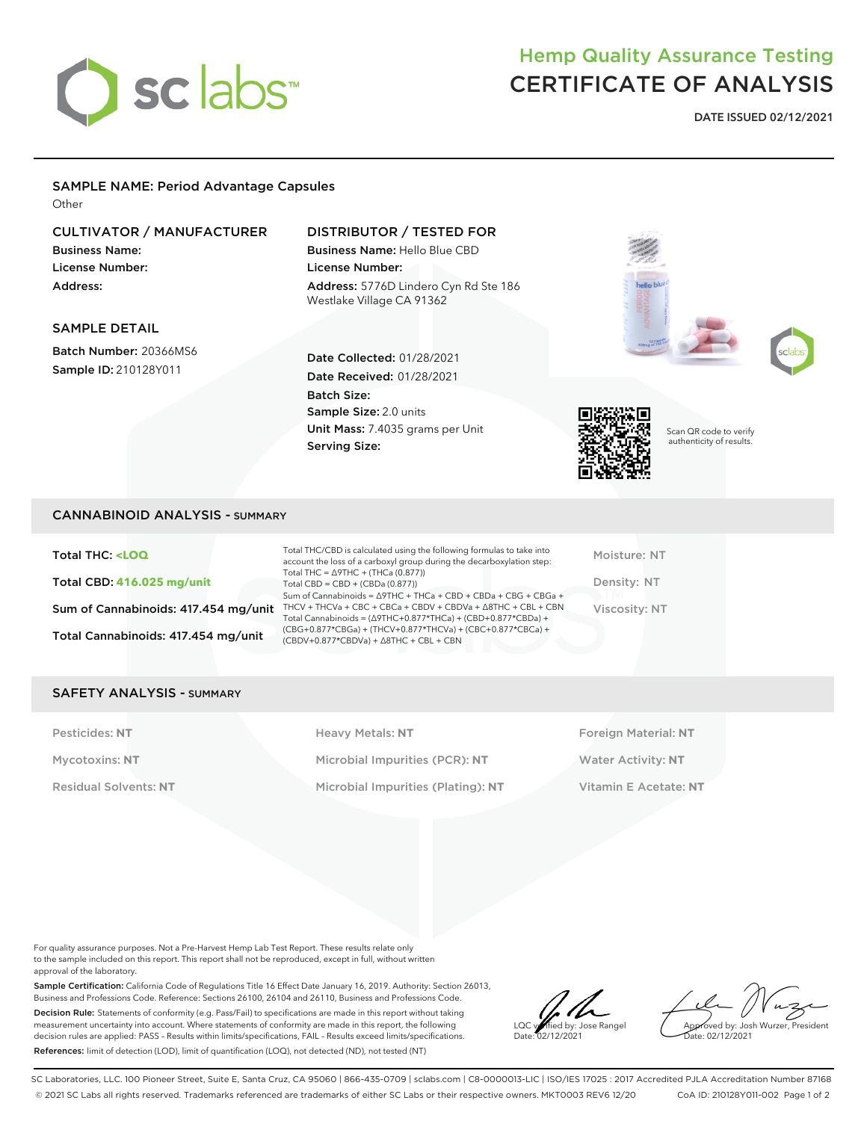# sclabs<sup>\*</sup>

# Hemp Quality Assurance Testing CERTIFICATE OF ANALYSIS

**DATE ISSUED 02/12/2021**

#### SAMPLE NAME: Period Advantage Capsules

**Other** 

### CULTIVATOR / MANUFACTURER

Business Name: License Number: Address:

#### DISTRIBUTOR / TESTED FOR

Date Collected: 01/28/2021 Date Received: 01/28/2021

Unit Mass: 7.4035 grams per Unit

Sample Size: 2.0 units

Batch Size:

Serving Size:

Business Name: Hello Blue CBD License Number: Address: 5776D Lindero Cyn Rd Ste 186 Westlake Village CA 91362





Scan QR code to verify authenticity of results.

# SAMPLE DETAIL

Batch Number: 20366MS6 Sample ID: 210128Y011

CANNABINOID ANALYSIS - SUMMARY

Total THC: **<LOQ** Total CBD: **416.025 mg/unit** Sum of Cannabinoids: 417.454 mg/unit Total Cannabinoids: 417.454 mg/unit

Total THC/CBD is calculated using the following formulas to take into account the loss of a carboxyl group during the decarboxylation step: Total THC = ∆9THC + (THCa (0.877)) Total CBD = CBD + (CBDa (0.877)) Sum of Cannabinoids = ∆9THC + THCa + CBD + CBDa + CBG + CBGa + THCV + THCVa + CBC + CBCa + CBDV + CBDVa + ∆8THC + CBL + CBN Total Cannabinoids = (∆9THC+0.877\*THCa) + (CBD+0.877\*CBDa) + (CBG+0.877\*CBGa) + (THCV+0.877\*THCVa) + (CBC+0.877\*CBCa) + (CBDV+0.877\*CBDVa) + ∆8THC + CBL + CBN

Moisture: NT Density: NT Viscosity: NT

#### SAFETY ANALYSIS - SUMMARY

Pesticides: NT **All Accords** Heavy Metals: NT **Foreign Material: NT** Pesticides: NT Mycotoxins: **NT** Microbial Impurities (PCR): **NT** Water Activity: **NT** Residual Solvents: **NT** Microbial Impurities (Plating): **NT** Vitamin E Acetate: **NT**

For quality assurance purposes. Not a Pre-Harvest Hemp Lab Test Report. These results relate only to the sample included on this report. This report shall not be reproduced, except in full, without written approval of the laboratory.

Sample Certification: California Code of Regulations Title 16 Effect Date January 16, 2019. Authority: Section 26013, Business and Professions Code. Reference: Sections 26100, 26104 and 26110, Business and Professions Code. Decision Rule: Statements of conformity (e.g. Pass/Fail) to specifications are made in this report without taking measurement uncertainty into account. Where statements of conformity are made in this report, the following decision rules are applied: PASS – Results within limits/specifications, FAIL – Results exceed limits/specifications. References: limit of detection (LOD), limit of quantification (LOQ), not detected (ND), not tested (NT)

LOC verified by: Jose Rangel Date: 02/12/2021

Approved by: Josh Wurzer, President ate: 02/12/2021

SC Laboratories, LLC. 100 Pioneer Street, Suite E, Santa Cruz, CA 95060 | 866-435-0709 | sclabs.com | C8-0000013-LIC | ISO/IES 17025 : 2017 Accredited PJLA Accreditation Number 87168 © 2021 SC Labs all rights reserved. Trademarks referenced are trademarks of either SC Labs or their respective owners. MKT0003 REV6 12/20 CoA ID: 210128Y011-002 Page 1 of 2